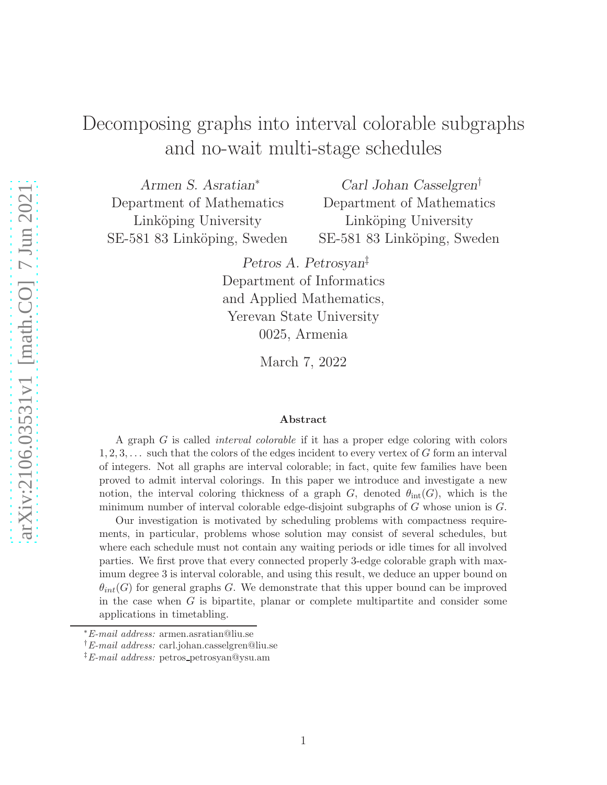# Decomposing graphs into interval colorable subgraphs and no-wait multi-stage schedules

Armen S. Asratian<sup>∗</sup> Department of Mathematics Linköping University SE-581 83 Linköping, Sweden

Carl Johan Casselgren† Department of Mathematics Linköping University SE-581 83 Linköping, Sweden

Petros A. Petrosyan‡ Department of Informatics and Applied Mathematics, Yerevan State University 0025, Armenia

March 7, 2022

#### Abstract

A graph G is called interval colorable if it has a proper edge coloring with colors  $1, 2, 3, \ldots$  such that the colors of the edges incident to every vertex of G form an interval of integers. Not all graphs are interval colorable; in fact, quite few families have been proved to admit interval colorings. In this paper we introduce and investigate a new notion, the interval coloring thickness of a graph G, denoted  $\theta_{\text{int}}(G)$ , which is the minimum number of interval colorable edge-disjoint subgraphs of G whose union is G.

Our investigation is motivated by scheduling problems with compactness requirements, in particular, problems whose solution may consist of several schedules, but where each schedule must not contain any waiting periods or idle times for all involved parties. We first prove that every connected properly 3-edge colorable graph with maximum degree 3 is interval colorable, and using this result, we deduce an upper bound on  $\theta_{int}(G)$  for general graphs G. We demonstrate that this upper bound can be improved in the case when  $G$  is bipartite, planar or complete multipartite and consider some applications in timetabling.

<sup>∗</sup>E-mail address: armen.asratian@liu.se

<sup>†</sup>E-mail address: carl.johan.casselgren@liu.se

<sup>&</sup>lt;sup>‡</sup>E-mail address: petros\_petrosyan@ysu.am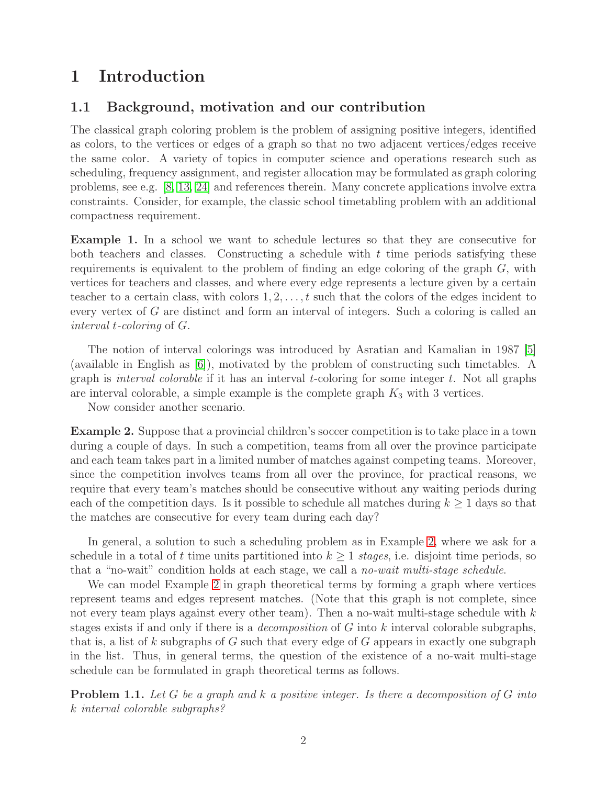# 1 Introduction

## 1.1 Background, motivation and our contribution

The classical graph coloring problem is the problem of assigning positive integers, identified as colors, to the vertices or edges of a graph so that no two adjacent vertices/edges receive the same color. A variety of topics in computer science and operations research such as scheduling, frequency assignment, and register allocation may be formulated as graph coloring problems, see e.g. [\[8,](#page-16-0) [13,](#page-17-0) [24\]](#page-17-1) and references therein. Many concrete applications involve extra constraints. Consider, for example, the classic school timetabling problem with an additional compactness requirement.

Example 1. In a school we want to schedule lectures so that they are consecutive for both teachers and classes. Constructing a schedule with  $t$  time periods satisfying these requirements is equivalent to the problem of finding an edge coloring of the graph G, with vertices for teachers and classes, and where every edge represents a lecture given by a certain teacher to a certain class, with colors  $1, 2, \ldots, t$  such that the colors of the edges incident to every vertex of G are distinct and form an interval of integers. Such a coloring is called an interval t-coloring of G.

The notion of interval colorings was introduced by Asratian and Kamalian in 1987 [\[5\]](#page-16-1) (available in English as [\[6\]](#page-16-2)), motivated by the problem of constructing such timetables. A graph is *interval colorable* if it has an interval *t*-coloring for some integer  $t$ . Not all graphs are interval colorable, a simple example is the complete graph  $K_3$  with 3 vertices.

Now consider another scenario.

<span id="page-1-0"></span>Example 2. Suppose that a provincial children's soccer competition is to take place in a town during a couple of days. In such a competition, teams from all over the province participate and each team takes part in a limited number of matches against competing teams. Moreover, since the competition involves teams from all over the province, for practical reasons, we require that every team's matches should be consecutive without any waiting periods during each of the competition days. Is it possible to schedule all matches during  $k \geq 1$  days so that the matches are consecutive for every team during each day?

In general, a solution to such a scheduling problem as in Example [2,](#page-1-0) where we ask for a schedule in a total of t time units partitioned into  $k \geq 1$  stages, i.e. disjoint time periods, so that a "no-wait" condition holds at each stage, we call a no-wait multi-stage schedule.

We can model Example [2](#page-1-0) in graph theoretical terms by forming a graph where vertices represent teams and edges represent matches. (Note that this graph is not complete, since not every team plays against every other team). Then a no-wait multi-stage schedule with  $k$ stages exists if and only if there is a *decomposition* of  $G$  into  $k$  interval colorable subgraphs, that is, a list of k subgraphs of G such that every edge of G appears in exactly one subgraph in the list. Thus, in general terms, the question of the existence of a no-wait multi-stage schedule can be formulated in graph theoretical terms as follows.

<span id="page-1-1"></span>**Problem 1.1.** Let G be a graph and  $k$  a positive integer. Is there a decomposition of  $G$  into k interval colorable subgraphs?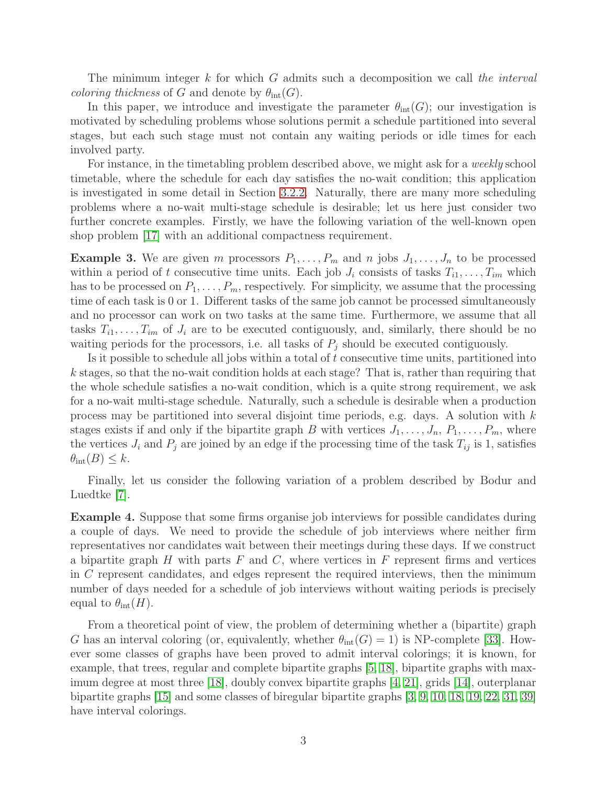The minimum integer  $k$  for which  $G$  admits such a decomposition we call the interval *coloring thickness* of G and denote by  $\theta_{\text{int}}(G)$ .

In this paper, we introduce and investigate the parameter  $\theta_{\text{int}}(G)$ ; our investigation is motivated by scheduling problems whose solutions permit a schedule partitioned into several stages, but each such stage must not contain any waiting periods or idle times for each involved party.

For instance, in the timetabling problem described above, we might ask for a weekly school timetable, where the schedule for each day satisfies the no-wait condition; this application is investigated in some detail in Section [3.2.2.](#page-10-0) Naturally, there are many more scheduling problems where a no-wait multi-stage schedule is desirable; let us here just consider two further concrete examples. Firstly, we have the following variation of the well-known open shop problem [\[17\]](#page-17-2) with an additional compactness requirement.

**Example 3.** We are given m processors  $P_1, \ldots, P_m$  and n jobs  $J_1, \ldots, J_n$  to be processed within a period of t consecutive time units. Each job  $J_i$  consists of tasks  $T_{i1}, \ldots, T_{im}$  which has to be processed on  $P_1, \ldots, P_m$ , respectively. For simplicity, we assume that the processing time of each task is 0 or 1. Different tasks of the same job cannot be processed simultaneously and no processor can work on two tasks at the same time. Furthermore, we assume that all tasks  $T_{i1}, \ldots, T_{im}$  of  $J_i$  are to be executed contiguously, and, similarly, there should be no waiting periods for the processors, i.e. all tasks of  $P_j$  should be executed contiguously.

Is it possible to schedule all jobs within a total of  $t$  consecutive time units, partitioned into  $k$  stages, so that the no-wait condition holds at each stage? That is, rather than requiring that the whole schedule satisfies a no-wait condition, which is a quite strong requirement, we ask for a no-wait multi-stage schedule. Naturally, such a schedule is desirable when a production process may be partitioned into several disjoint time periods, e.g. days. A solution with  $k$ stages exists if and only if the bipartite graph B with vertices  $J_1, \ldots, J_n, P_1, \ldots, P_m$ , where the vertices  $J_i$  and  $P_j$  are joined by an edge if the processing time of the task  $T_{ij}$  is 1, satisfies  $\theta_{\rm int}(B) \leq k$ .

Finally, let us consider the following variation of a problem described by Bodur and Luedtke [\[7\]](#page-16-3).

Example 4. Suppose that some firms organise job interviews for possible candidates during a couple of days. We need to provide the schedule of job interviews where neither firm representatives nor candidates wait between their meetings during these days. If we construct a bipartite graph H with parts F and C, where vertices in F represent firms and vertices in C represent candidates, and edges represent the required interviews, then the minimum number of days needed for a schedule of job interviews without waiting periods is precisely equal to  $\theta_{\rm int}(H)$ .

From a theoretical point of view, the problem of determining whether a (bipartite) graph G has an interval coloring (or, equivalently, whether  $\theta_{\rm int}(G) = 1$ ) is NP-complete [\[33\]](#page-18-0). However some classes of graphs have been proved to admit interval colorings; it is known, for example, that trees, regular and complete bipartite graphs [\[5,](#page-16-1) [18\]](#page-17-3), bipartite graphs with maximum degree at most three [\[18\]](#page-17-3), doubly convex bipartite graphs [\[4,](#page-16-4) [21\]](#page-17-4), grids [\[14\]](#page-17-5), outerplanar bipartite graphs [\[15\]](#page-17-6) and some classes of biregular bipartite graphs [\[3,](#page-16-5) [9,](#page-16-6) [10,](#page-16-7) [18,](#page-17-3) [19,](#page-17-7) [22,](#page-17-8) [31,](#page-18-1) [39\]](#page-18-2) have interval colorings.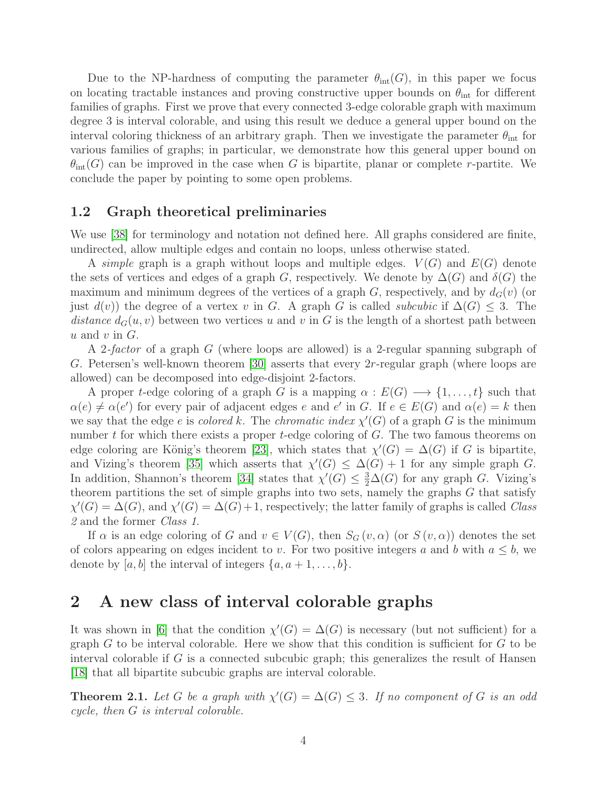Due to the NP-hardness of computing the parameter  $\theta_{\text{int}}(G)$ , in this paper we focus on locating tractable instances and proving constructive upper bounds on  $\theta_{\text{int}}$  for different families of graphs. First we prove that every connected 3-edge colorable graph with maximum degree 3 is interval colorable, and using this result we deduce a general upper bound on the interval coloring thickness of an arbitrary graph. Then we investigate the parameter  $\theta_{\text{int}}$  for various families of graphs; in particular, we demonstrate how this general upper bound on  $\theta_{\rm int}(G)$  can be improved in the case when G is bipartite, planar or complete r-partite. We conclude the paper by pointing to some open problems.

## 1.2 Graph theoretical preliminaries

We use [\[38\]](#page-18-3) for terminology and notation not defined here. All graphs considered are finite, undirected, allow multiple edges and contain no loops, unless otherwise stated.

A simple graph is a graph without loops and multiple edges.  $V(G)$  and  $E(G)$  denote the sets of vertices and edges of a graph G, respectively. We denote by  $\Delta(G)$  and  $\delta(G)$  the maximum and minimum degrees of the vertices of a graph G, respectively, and by  $d_G(v)$  (or just  $d(v)$ ) the degree of a vertex v in G. A graph G is called *subcubic* if  $\Delta(G) \leq 3$ . The distance  $d_G(u, v)$  between two vertices u and v in G is the length of a shortest path between  $u$  and  $v$  in  $G$ .

A 2-factor of a graph G (where loops are allowed) is a 2-regular spanning subgraph of G. Petersen's well-known theorem [\[30\]](#page-18-4) asserts that every  $2r$ -regular graph (where loops are allowed) can be decomposed into edge-disjoint 2-factors.

A proper t-edge coloring of a graph G is a mapping  $\alpha : E(G) \longrightarrow \{1, \ldots, t\}$  such that  $\alpha(e) \neq \alpha(e')$  for every pair of adjacent edges e and e' in G. If  $e \in E(G)$  and  $\alpha(e) = k$  then we say that the edge e is colored k. The chromatic index  $\chi'(G)$  of a graph G is the minimum number  $t$  for which there exists a proper  $t$ -edge coloring of  $G$ . The two famous theorems on edge coloring are König's theorem [\[23\]](#page-17-9), which states that  $\chi'(G) = \Delta(G)$  if G is bipartite, and Vizing's theorem [\[35\]](#page-18-5) which asserts that  $\chi'(G) \leq \Delta(G) + 1$  for any simple graph G. In addition, Shannon's theorem [\[34\]](#page-18-6) states that  $\chi'(G) \leq \frac{3}{2}\Delta(G)$  for any graph G. Vizing's theorem partitions the set of simple graphs into two sets, namely the graphs G that satisfy  $\chi'(G) = \Delta(G)$ , and  $\chi'(G) = \Delta(G) + 1$ , respectively; the latter family of graphs is called Class 2 and the former Class 1.

If  $\alpha$  is an edge coloring of G and  $v \in V(G)$ , then  $S_G(v, \alpha)$  (or  $S(v, \alpha)$ ) denotes the set of colors appearing on edges incident to v. For two positive integers a and b with  $a \leq b$ , we denote by  $[a, b]$  the interval of integers  $\{a, a+1, \ldots, b\}.$ 

## 2 A new class of interval colorable graphs

It was shown in [\[6\]](#page-16-2) that the condition  $\chi'(G) = \Delta(G)$  is necessary (but not sufficient) for a graph  $G$  to be interval colorable. Here we show that this condition is sufficient for  $G$  to be interval colorable if  $G$  is a connected subcubic graph; this generalizes the result of Hansen [\[18\]](#page-17-3) that all bipartite subcubic graphs are interval colorable.

<span id="page-3-0"></span>**Theorem 2.1.** Let G be a graph with  $\chi'(G) = \Delta(G) \leq 3$ . If no component of G is an odd cycle, then G is interval colorable.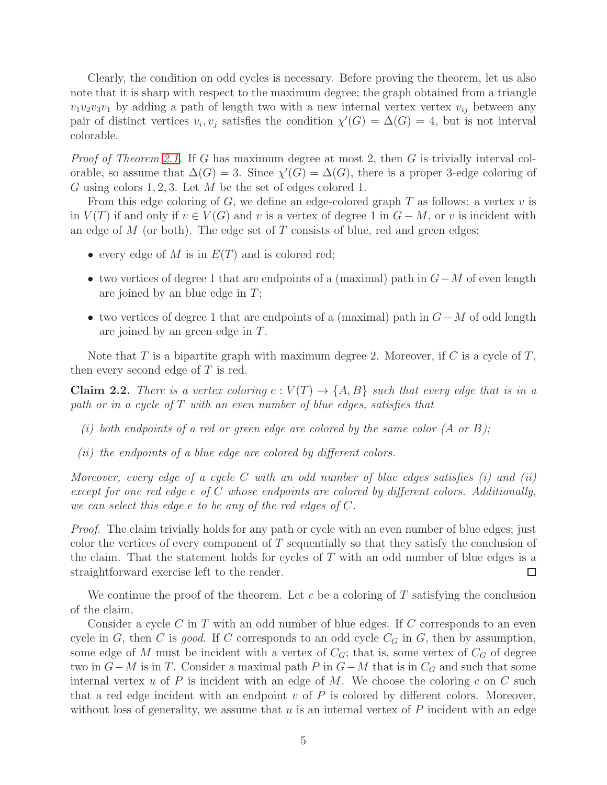Clearly, the condition on odd cycles is necessary. Before proving the theorem, let us also note that it is sharp with respect to the maximum degree; the graph obtained from a triangle  $v_1v_2v_3v_1$  by adding a path of length two with a new internal vertex vertex  $v_{ij}$  between any pair of distinct vertices  $v_i, v_j$  satisfies the condition  $\chi'(G) = \Delta(G) = 4$ , but is not interval colorable.

*Proof of Theorem [2.1.](#page-3-0)* If G has maximum degree at most 2, then G is trivially interval colorable, so assume that  $\Delta(G) = 3$ . Since  $\chi'(G) = \Delta(G)$ , there is a proper 3-edge coloring of G using colors 1, 2, 3. Let  $M$  be the set of edges colored 1.

From this edge coloring of G, we define an edge-colored graph T as follows: a vertex  $v$  is in  $V(T)$  if and only if  $v \in V(G)$  and v is a vertex of degree 1 in  $G - M$ , or v is incident with an edge of  $M$  (or both). The edge set of  $T$  consists of blue, red and green edges:

- every edge of M is in  $E(T)$  and is colored red;
- two vertices of degree 1 that are endpoints of a (maximal) path in  $G-M$  of even length are joined by an blue edge in  $T$ ;
- two vertices of degree 1 that are endpoints of a (maximal) path in  $G-M$  of odd length are joined by an green edge in T.

Note that T is a bipartite graph with maximum degree 2. Moreover, if C is a cycle of  $T$ , then every second edge of  $T$  is red.

**Claim 2.2.** There is a vertex coloring  $c: V(T) \to \{A, B\}$  such that every edge that is in a path or in a cycle of T with an even number of blue edges, satisfies that

- (i) both endpoints of a red or green edge are colored by the same color  $(A \text{ or } B)$ ;
- (ii) the endpoints of a blue edge are colored by different colors.

Moreover, every edge of a cycle C with an odd number of blue edges satisfies  $(i)$  and  $(ii)$ except for one red edge e of C whose endpoints are colored by different colors. Additionally, we can select this edge e to be any of the red edges of C.

Proof. The claim trivially holds for any path or cycle with an even number of blue edges; just color the vertices of every component of  $T$  sequentially so that they satisfy the conclusion of the claim. That the statement holds for cycles of  $T$  with an odd number of blue edges is a straightforward exercise left to the reader. □

We continue the proof of the theorem. Let c be a coloring of  $T$  satisfying the conclusion of the claim.

Consider a cycle  $C$  in  $T$  with an odd number of blue edges. If  $C$  corresponds to an even cycle in G, then C is good. If C corresponds to an odd cycle  $C_G$  in G, then by assumption, some edge of M must be incident with a vertex of  $C_G$ ; that is, some vertex of  $C_G$  of degree two in  $G-M$  is in T. Consider a maximal path P in  $G-M$  that is in  $C_G$  and such that some internal vertex  $u$  of  $P$  is incident with an edge of  $M$ . We choose the coloring  $c$  on  $C$  such that a red edge incident with an endpoint  $v$  of  $P$  is colored by different colors. Moreover, without loss of generality, we assume that  $u$  is an internal vertex of  $P$  incident with an edge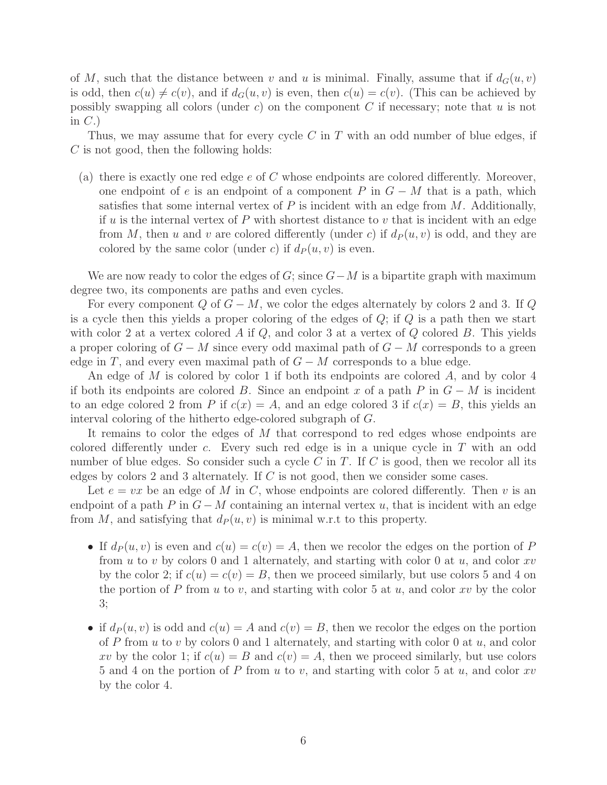of M, such that the distance between v and u is minimal. Finally, assume that if  $d_G(u, v)$ is odd, then  $c(u) \neq c(v)$ , and if  $d_G(u, v)$  is even, then  $c(u) = c(v)$ . (This can be achieved by possibly swapping all colors (under  $c$ ) on the component  $C$  if necessary; note that  $u$  is not in  $C.$ 

Thus, we may assume that for every cycle  $C$  in  $T$  with an odd number of blue edges, if C is not good, then the following holds:

(a) there is exactly one red edge  $e$  of  $C$  whose endpoints are colored differently. Moreover, one endpoint of e is an endpoint of a component P in  $G - M$  that is a path, which satisfies that some internal vertex of  $P$  is incident with an edge from  $M$ . Additionally, if u is the internal vertex of P with shortest distance to v that is incident with an edge from M, then u and v are colored differently (under c) if  $d_P(u, v)$  is odd, and they are colored by the same color (under c) if  $d_P(u, v)$  is even.

We are now ready to color the edges of  $G$ ; since  $G-M$  is a bipartite graph with maximum degree two, its components are paths and even cycles.

For every component Q of  $G - M$ , we color the edges alternately by colors 2 and 3. If Q is a cycle then this yields a proper coloring of the edges of  $Q$ ; if  $Q$  is a path then we start with color 2 at a vertex colored A if  $Q$ , and color 3 at a vertex of  $Q$  colored B. This yields a proper coloring of  $G - M$  since every odd maximal path of  $G - M$  corresponds to a green edge in T, and every even maximal path of  $G - M$  corresponds to a blue edge.

An edge of M is colored by color 1 if both its endpoints are colored A, and by color 4 if both its endpoints are colored B. Since an endpoint x of a path P in  $G - M$  is incident to an edge colored 2 from P if  $c(x) = A$ , and an edge colored 3 if  $c(x) = B$ , this yields an interval coloring of the hitherto edge-colored subgraph of G.

It remains to color the edges of M that correspond to red edges whose endpoints are colored differently under c. Every such red edge is in a unique cycle in T with an odd number of blue edges. So consider such a cycle C in T. If C is good, then we recolor all its edges by colors 2 and 3 alternately. If C is not good, then we consider some cases.

Let  $e = vx$  be an edge of M in C, whose endpoints are colored differently. Then v is an endpoint of a path P in  $G-M$  containing an internal vertex u, that is incident with an edge from M, and satisfying that  $d_P (u, v)$  is minimal w.r.t to this property.

- If  $d_P(u, v)$  is even and  $c(u) = c(v) = A$ , then we recolor the edges on the portion of P from u to v by colors 0 and 1 alternately, and starting with color 0 at u, and color  $xv$ by the color 2; if  $c(u) = c(v) = B$ , then we proceed similarly, but use colors 5 and 4 on the portion of P from u to v, and starting with color 5 at u, and color  $xv$  by the color 3;
- if  $d_P(u, v)$  is odd and  $c(u) = A$  and  $c(v) = B$ , then we recolor the edges on the portion of P from u to v by colors 0 and 1 alternately, and starting with color 0 at  $u$ , and color xv by the color 1; if  $c(u) = B$  and  $c(v) = A$ , then we proceed similarly, but use colors 5 and 4 on the portion of P from u to v, and starting with color 5 at u, and color  $xv$ by the color 4.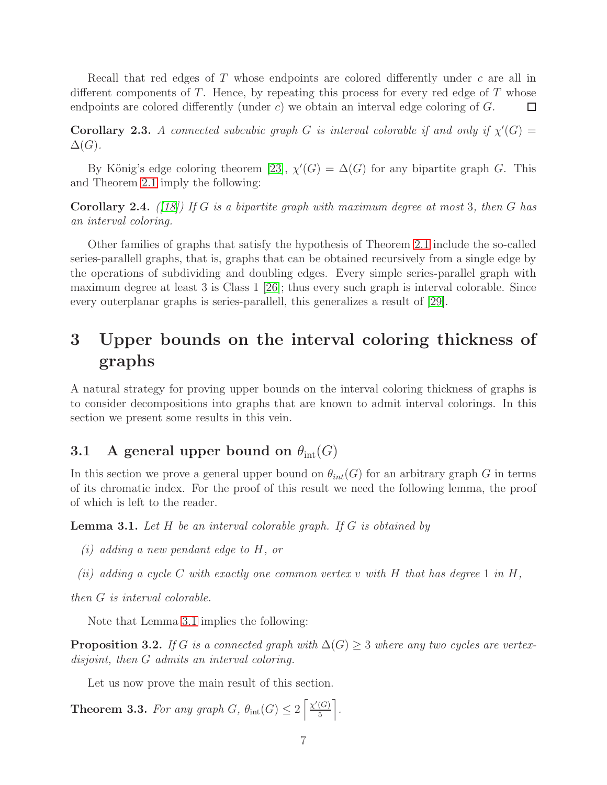Recall that red edges of T whose endpoints are colored differently under c are all in different components of T. Hence, by repeating this process for every red edge of T whose endpoints are colored differently (under c) we obtain an interval edge coloring of  $G$ .  $\Box$ 

**Corollary 2.3.** A connected subcubic graph G is interval colorable if and only if  $\chi'(G)$  =  $\Delta(G)$ .

By König's edge coloring theorem [\[23\]](#page-17-9),  $\chi'(G) = \Delta(G)$  for any bipartite graph G. This and Theorem [2.1](#page-3-0) imply the following:

<span id="page-6-2"></span>**Corollary 2.4.** ([\[18\]](#page-17-3)) If G is a bipartite graph with maximum degree at most 3, then G has an interval coloring.

Other families of graphs that satisfy the hypothesis of Theorem [2.1](#page-3-0) include the so-called series-parallell graphs, that is, graphs that can be obtained recursively from a single edge by the operations of subdividing and doubling edges. Every simple series-parallel graph with maximum degree at least 3 is Class 1 [\[26\]](#page-17-10); thus every such graph is interval colorable. Since every outerplanar graphs is series-parallell, this generalizes a result of [\[29\]](#page-18-7).

# 3 Upper bounds on the interval coloring thickness of graphs

A natural strategy for proving upper bounds on the interval coloring thickness of graphs is to consider decompositions into graphs that are known to admit interval colorings. In this section we present some results in this vein.

## 3.1 A general upper bound on  $\theta_{\text{int}}(G)$

In this section we prove a general upper bound on  $\theta_{int}(G)$  for an arbitrary graph G in terms of its chromatic index. For the proof of this result we need the following lemma, the proof of which is left to the reader.

<span id="page-6-0"></span>**Lemma 3.1.** Let  $H$  be an interval colorable graph. If  $G$  is obtained by

- (i) adding a new pendant edge to H, or
- (ii) adding a cycle C with exactly one common vertex v with H that has degree 1 in H,

then G is interval colorable.

Note that Lemma [3.1](#page-6-0) implies the following:

**Proposition 3.2.** If G is a connected graph with  $\Delta(G) \geq 3$  where any two cycles are vertexdisjoint, then G admits an interval coloring.

Let us now prove the main result of this section.

<span id="page-6-1"></span>**Theorem 3.3.** For any graph  $G$ ,  $\theta_{\rm int}(G) \leq 2 \left[ \frac{\chi'(G)}{5} \right]$  $\left(\frac{G}{5}\right)$ .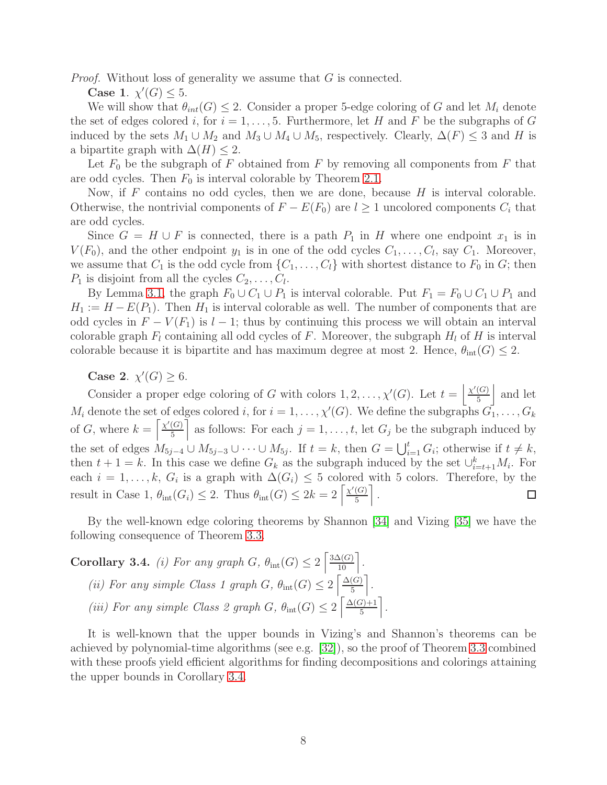Proof. Without loss of generality we assume that G is connected.

Case 1.  $\chi'(G) \leq 5$ .

We will show that  $\theta_{int}(G) \leq 2$ . Consider a proper 5-edge coloring of G and let  $M_i$  denote the set of edges colored i, for  $i = 1, \ldots, 5$ . Furthermore, let H and F be the subgraphs of G induced by the sets  $M_1 \cup M_2$  and  $M_3 \cup M_4 \cup M_5$ , respectively. Clearly,  $\Delta(F) \leq 3$  and H is a bipartite graph with  $\Delta(H) \leq 2$ .

Let  $F_0$  be the subgraph of F obtained from F by removing all components from F that are odd cycles. Then  $F_0$  is interval colorable by Theorem [2.1.](#page-3-0)

Now, if  $F$  contains no odd cycles, then we are done, because  $H$  is interval colorable. Otherwise, the nontrivial components of  $F - E(F_0)$  are  $l \geq 1$  uncolored components  $C_i$  that are odd cycles.

Since  $G = H \cup F$  is connected, there is a path  $P_1$  in H where one endpoint  $x_1$  is in  $V(F_0)$ , and the other endpoint  $y_1$  is in one of the odd cycles  $C_1, \ldots, C_l$ , say  $C_1$ . Moreover, we assume that  $C_1$  is the odd cycle from  $\{C_1, \ldots, C_l\}$  with shortest distance to  $F_0$  in  $G$ ; then  $P_1$  is disjoint from all the cycles  $C_2, \ldots, C_l$ .

By Lemma [3.1,](#page-6-0) the graph  $F_0 \cup C_1 \cup P_1$  is interval colorable. Put  $F_1 = F_0 \cup C_1 \cup P_1$  and  $H_1 := H - E(P_1)$ . Then  $H_1$  is interval colorable as well. The number of components that are odd cycles in  $F - V(F_1)$  is  $l - 1$ ; thus by continuing this process we will obtain an interval colorable graph  $F_l$  containing all odd cycles of F. Moreover, the subgraph  $H_l$  of H is interval colorable because it is bipartite and has maximum degree at most 2. Hence,  $\theta_{\text{int}}(G) \leq 2$ .

Case 2.  $\chi'(G) \geq 6$ .

Consider a proper edge coloring of G with colors  $1, 2, ..., \chi'(G)$ . Let  $t = \frac{\chi'(G)}{5}$  $\frac{(G)}{5}$  and let  $M_i$  denote the set of edges colored i, for  $i = 1, \ldots, \chi'(G)$ . We define the subgraphs  $\overline{G_1}, \ldots, \overline{G_k}$ of G, where  $k = \left[\frac{\chi'(G)}{5}\right]$  $\left[\frac{G}{5}\right]$  as follows: For each  $j = 1, \ldots, t$ , let  $G_j$  be the subgraph induced by the set of edges  $M_{5j-4} \cup M_{5j-3} \cup \cdots \cup M_{5j}$ . If  $t = k$ , then  $G = \bigcup_{i=1}^{t} G_i$ ; otherwise if  $t \neq k$ , then  $t + 1 = k$ . In this case we define  $G_k$  as the subgraph induced by the set  $\bigcup_{i=t+1}^k M_i$ . For each  $i = 1, \ldots, k, G_i$  is a graph with  $\Delta(G_i) \leq 5$  colored with 5 colors. Therefore, by the result in Case 1,  $\theta_{\rm int}(G_i) \leq 2$ . Thus  $\theta_{\rm int}(G) \leq 2k = 2 \left[ \frac{\chi'(G)}{5} \right]$  $\frac{(G)}{5}$ .  $\Box$ 

By the well-known edge coloring theorems by Shannon [\[34\]](#page-18-6) and Vizing [\[35\]](#page-18-5) we have the following consequence of Theorem [3.3.](#page-6-1)

<span id="page-7-0"></span>Corollary 3.4. (i) For any graph  $G$ ,  $\theta_{\rm int}(G) \leq 2 \left[ \frac{3\Delta(G)}{10} \right]$ . (ii) For any simple Class 1 graph G,  $\theta_{\rm int}(G) \leq 2 \left[ \frac{\Delta(G)}{5} \right]$  $\left[\frac{(G)}{5}\right]$ . (iii) For any simple Class 2 graph G,  $\theta_{\rm int}(G) \leq 2 \left[ \frac{\Delta(G)+1}{5} \right]$  $\frac{x}{5}$   $\left. \frac{x}{5} \right.$ 

It is well-known that the upper bounds in Vizing's and Shannon's theorems can be achieved by polynomial-time algorithms (see e.g. [\[32\]](#page-18-8)), so the proof of Theorem [3.3](#page-6-1) combined with these proofs yield efficient algorithms for finding decompositions and colorings attaining the upper bounds in Corollary [3.4.](#page-7-0)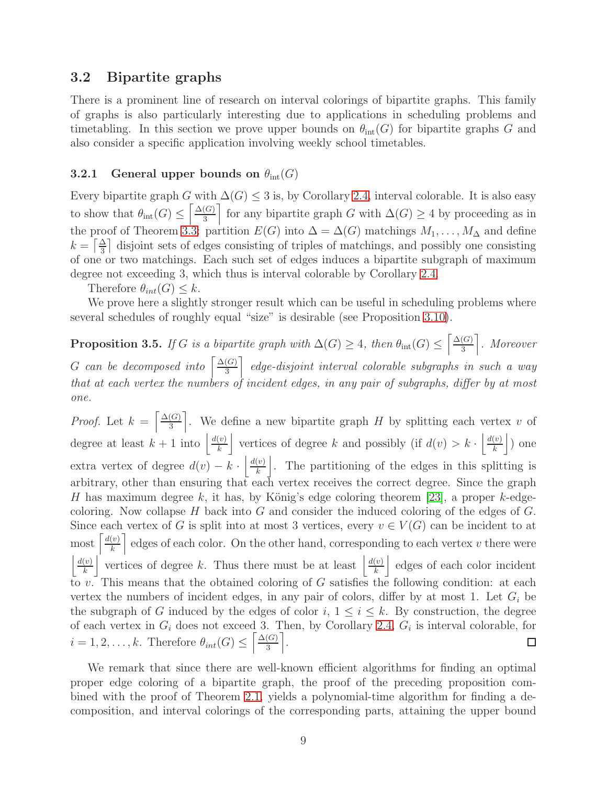## 3.2 Bipartite graphs

There is a prominent line of research on interval colorings of bipartite graphs. This family of graphs is also particularly interesting due to applications in scheduling problems and timetabling. In this section we prove upper bounds on  $\theta_{\rm int}(G)$  for bipartite graphs G and also consider a specific application involving weekly school timetables.

### 3.2.1 General upper bounds on  $\theta_{\text{int}}(G)$

Every bipartite graph G with  $\Delta(G) \leq 3$  is, by Corollary [2.4,](#page-6-2) interval colorable. It is also easy to show that  $\theta_{\rm int}(G) \leq \left[\frac{\Delta(G)}{3}\right]$  $\left[\frac{G}{3}\right]$  for any bipartite graph G with  $\Delta(G) \geq 4$  by proceeding as in the proof of Theorem [3.3:](#page-6-1) partition  $E(G)$  into  $\Delta = \Delta(G)$  matchings  $M_1, \ldots, M_\Delta$  and define  $k = \left\lceil \frac{\Delta}{3} \right\rceil$  disjoint sets of edges consisting of triples of matchings, and possibly one consisting of one or two matchings. Each such set of edges induces a bipartite subgraph of maximum degree not exceeding 3, which thus is interval colorable by Corollary [2.4.](#page-6-2)

Therefore  $\theta_{int}(G) \leq k$ .

We prove here a slightly stronger result which can be useful in scheduling problems where several schedules of roughly equal "size" is desirable (see Proposition [3.10\)](#page-11-0).

<span id="page-8-0"></span>**Proposition 3.5.** If G is a bipartite graph with  $\Delta(G) \geq 4$ , then  $\theta_{\rm int}(G) \leq \left[\frac{\Delta(G)}{3}\right]$  $\left(\frac{G}{3}\right)$ . Moreover G can be decomposed into  $\left[\frac{\Delta(G)}{3}\right]$  $\left(\frac{G}{3}\right)^{2}$  edge-disjoint interval colorable subgraphs in such a way that at each vertex the numbers of incident edges, in any pair of subgraphs, differ by at most one.

*Proof.* Let  $k = \frac{\Delta(G)}{3}$  $\left[\frac{G}{3}\right]$ . We define a new bipartite graph H by splitting each vertex v of degree at least  $k+1$  into  $\frac{d(v)}{k}$  $\left| \frac{v}{k} \right|$  vertices of degree k and possibly (if  $d(v) > k \cdot \left| \frac{d(v)}{k} \right|$  $\frac{(v)}{k}$  one extra vertex of degree  $d(v) - k \cdot \left| \frac{d(v)}{k} \right|$  $\left\lfloor \frac{v}{k} \right\rfloor$ . The partitioning of the edges in this splitting is arbitrary, other than ensuring that each vertex receives the correct degree. Since the graph H has maximum degree k, it has, by König's edge coloring theorem [\[23\]](#page-17-9), a proper k-edgecoloring. Now collapse  $H$  back into  $G$  and consider the induced coloring of the edges of  $G$ . Since each vertex of G is split into at most 3 vertices, every  $v \in V(G)$  can be incident to at  $\frac{d(v)}{k}$  $\left\lfloor \frac{v}{k} \right\rfloor$  edges of each color. On the other hand, corresponding to each vertex v there were  $d(v)$  $\left\lfloor \frac{v}{k} \right\rfloor$  vertices of degree k. Thus there must be at least  $\frac{d(v)}{k}$  $\left\lfloor \frac{v}{k} \right\rfloor$  edges of each color incident to v. This means that the obtained coloring of G satisfies the following condition: at each vertex the numbers of incident edges, in any pair of colors, differ by at most 1. Let  $G_i$  be the subgraph of G induced by the edges of color  $i, 1 \leq i \leq k$ . By construction, the degree of each vertex in  $G_i$  does not exceed 3. Then, by Corollary [2.4,](#page-6-2)  $G_i$  is interval colorable, for  $i = 1, 2, \ldots, k$ . Therefore  $\theta_{int}(G) \leq \left[\frac{\Delta(G)}{3}\right]$  $\left[\frac{(G)}{3}\right].$  $\Box$ 

We remark that since there are well-known efficient algorithms for finding an optimal proper edge coloring of a bipartite graph, the proof of the preceding proposition combined with the proof of Theorem [2.1,](#page-3-0) yields a polynomial-time algorithm for finding a decomposition, and interval colorings of the corresponding parts, attaining the upper bound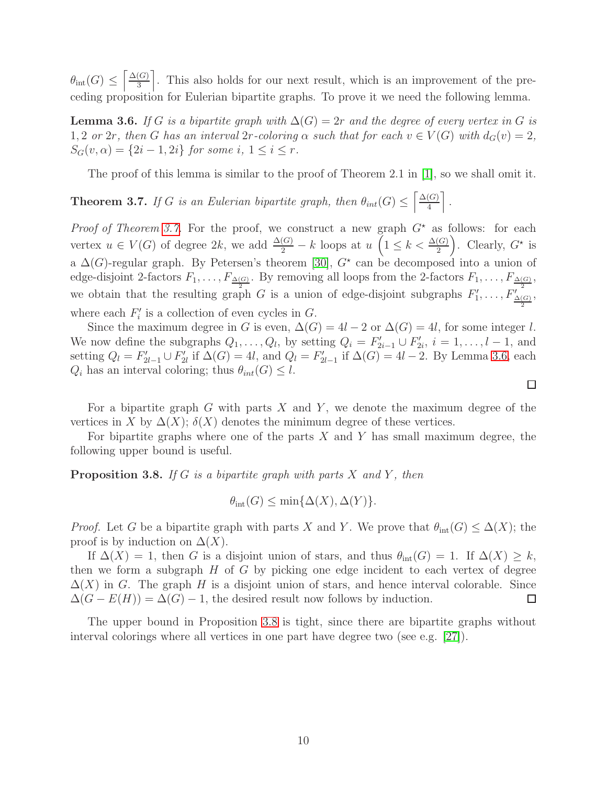$\theta_{\text{int}}(G) \leq \left[\frac{\Delta(G)}{3}\right]$  $\left(\frac{G}{3}\right)$ . This also holds for our next result, which is an improvement of the preceding proposition for Eulerian bipartite graphs. To prove it we need the following lemma.

<span id="page-9-1"></span>**Lemma 3.6.** If G is a bipartite graph with  $\Delta(G) = 2r$  and the degree of every vertex in G is 1, 2 or 2r, then G has an interval 2r-coloring  $\alpha$  such that for each  $v \in V(G)$  with  $d_G(v) = 2$ ,  $S_G(v, \alpha) = \{2i - 1, 2i\}$  for some  $i, 1 \leq i \leq r$ .

The proof of this lemma is similar to the proof of Theorem 2.1 in [\[1\]](#page-16-8), so we shall omit it.

<span id="page-9-0"></span>**Theorem 3.7.** If G is an Eulerian bipartite graph, then  $\theta_{int}(G) \leq \left[\frac{\Delta(G)}{4}\right]$  $\frac{(G)}{4}$ .

*Proof of Theorem [3.7.](#page-9-0)* For the proof, we construct a new graph  $G^*$  as follows: for each vertex  $u \in V(G)$  of degree  $2k$ , we add  $\frac{\Delta(G)}{2} - k$  loops at  $u\left(1 \leq k < \frac{\Delta(G)}{2}\right)$ . Clearly,  $G^*$  is a  $\Delta(G)$ -regular graph. By Petersen's theorem [\[30\]](#page-18-4),  $G^*$  can be decomposed into a union of edge-disjoint 2-factors  $F_1, \ldots, F_{\frac{\Delta(G)}{2}}$ . By removing all loops from the 2-factors  $F_1, \ldots, F_{\frac{\Delta(G)}{2}}$ , we obtain that the resulting graph G is a union of edge-disjoint subgraphs  $F'_1, \ldots, F'_{\frac{\Delta(G)}{2}}$ , where each  $F_i'$  is a collection of even cycles in  $G$ .

Since the maximum degree in G is even,  $\Delta(G) = 4l - 2$  or  $\Delta(G) = 4l$ , for some integer l. We now define the subgraphs  $Q_1, \ldots, Q_l$ , by setting  $Q_i = F'_{2i-1} \cup F'_{2i}, i = 1, \ldots, l-1$ , and setting  $Q_l = F'_{2l-1} \cup F'_{2l}$  if  $\Delta(G) = 4l$ , and  $Q_l = F'_{2l-1}$  if  $\Delta(G) = 4l - 2$ . By Lemma [3.6,](#page-9-1) each  $Q_i$  has an interval coloring; thus  $\theta_{int}(G) \leq l$ .

For a bipartite graph  $G$  with parts  $X$  and  $Y$ , we denote the maximum degree of the vertices in X by  $\Delta(X)$ ;  $\delta(X)$  denotes the minimum degree of these vertices.

For bipartite graphs where one of the parts  $X$  and  $Y$  has small maximum degree, the following upper bound is useful.

<span id="page-9-2"></span>**Proposition 3.8.** If G is a bipartite graph with parts X and Y, then

$$
\theta_{\rm int}(G) \le \min\{\Delta(X), \Delta(Y)\}.
$$

*Proof.* Let G be a bipartite graph with parts X and Y. We prove that  $\theta_{\rm int}(G) \leq \Delta(X)$ ; the proof is by induction on  $\Delta(X)$ .

If  $\Delta(X) = 1$ , then G is a disjoint union of stars, and thus  $\theta_{\rm int}(G) = 1$ . If  $\Delta(X) \geq k$ , then we form a subgraph  $H$  of  $G$  by picking one edge incident to each vertex of degree  $\Delta(X)$  in G. The graph H is a disjoint union of stars, and hence interval colorable. Since  $\Delta(G - E(H)) = \Delta(G) - 1$ , the desired result now follows by induction. □

The upper bound in Proposition [3.8](#page-9-2) is tight, since there are bipartite graphs without interval colorings where all vertices in one part have degree two (see e.g. [\[27\]](#page-17-11)).

 $\Box$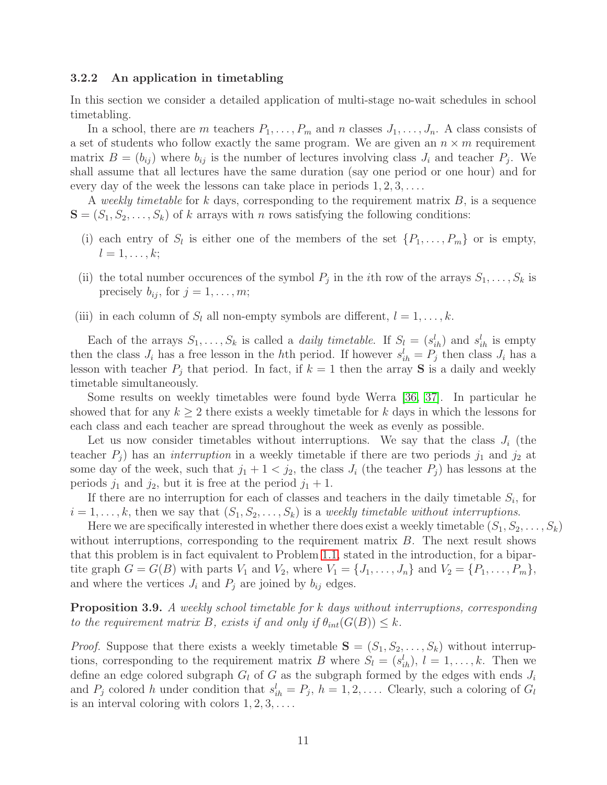#### <span id="page-10-0"></span>3.2.2 An application in timetabling

In this section we consider a detailed application of multi-stage no-wait schedules in school timetabling.

In a school, there are m teachers  $P_1, \ldots, P_m$  and n classes  $J_1, \ldots, J_n$ . A class consists of a set of students who follow exactly the same program. We are given an  $n \times m$  requirement matrix  $B = (b_{ij})$  where  $b_{ij}$  is the number of lectures involving class  $J_i$  and teacher  $P_j$ . We shall assume that all lectures have the same duration (say one period or one hour) and for every day of the week the lessons can take place in periods  $1, 2, 3, \ldots$ .

A weekly timetable for k days, corresponding to the requirement matrix  $B$ , is a sequence  $S = (S_1, S_2, \ldots, S_k)$  of k arrays with n rows satisfying the following conditions:

- (i) each entry of  $S_l$  is either one of the members of the set  $\{P_1, \ldots, P_m\}$  or is empty,  $l=1,\ldots,k;$
- (ii) the total number occurences of the symbol  $P_j$  in the *i*th row of the arrays  $S_1, \ldots, S_k$  is precisely  $b_{ij}$ , for  $j = 1, \ldots, m;$
- (iii) in each column of  $S_l$  all non-empty symbols are different,  $l = 1, \ldots, k$ .

Each of the arrays  $S_1, \ldots, S_k$  is called a *daily timetable*. If  $S_l = (s_{ih}^l)$  and  $s_{ih}^l$  is empty then the class  $J_i$  has a free lesson in the hth period. If however  $s_{ih}^l = P_j$  then class  $J_i$  has a lesson with teacher  $P_j$  that period. In fact, if  $k = 1$  then the array **S** is a daily and weekly timetable simultaneously.

Some results on weekly timetables were found byde Werra [\[36,](#page-18-9) [37\]](#page-18-10). In particular he showed that for any  $k \geq 2$  there exists a weekly timetable for k days in which the lessons for each class and each teacher are spread throughout the week as evenly as possible.

Let us now consider timetables without interruptions. We say that the class  $J_i$  (the teacher  $P_i$ ) has an *interruption* in a weekly timetable if there are two periods  $j_1$  and  $j_2$  at some day of the week, such that  $j_1 + 1 < j_2$ , the class  $J_i$  (the teacher  $P_j$ ) has lessons at the periods  $j_1$  and  $j_2$ , but it is free at the period  $j_1 + 1$ .

If there are no interruption for each of classes and teachers in the daily timetable  $S_i$ , for  $i = 1, \ldots, k$ , then we say that  $(S_1, S_2, \ldots, S_k)$  is a weekly timetable without interruptions.

Here we are specifically interested in whether there does exist a weekly timetable  $(S_1, S_2, \ldots, S_k)$ without interruptions, corresponding to the requirement matrix  $B$ . The next result shows that this problem is in fact equivalent to Problem [1.1,](#page-1-1) stated in the introduction, for a bipartite graph  $G = G(B)$  with parts  $V_1$  and  $V_2$ , where  $V_1 = \{J_1, \ldots, J_n\}$  and  $V_2 = \{P_1, \ldots, P_m\}$ , and where the vertices  $J_i$  and  $P_j$  are joined by  $b_{ij}$  edges.

**Proposition 3.9.** A weekly school timetable for k days without interruptions, corresponding to the requirement matrix B, exists if and only if  $\theta_{int}(G(B)) \leq k$ .

*Proof.* Suppose that there exists a weekly timetable  $S = (S_1, S_2, \ldots, S_k)$  without interruptions, corresponding to the requirement matrix B where  $S_l = (s_{ih}^l), l = 1, \ldots, k$ . Then we define an edge colored subgraph  $G_l$  of G as the subgraph formed by the edges with ends  $J_i$ and  $P_j$  colored h under condition that  $s_{ih}^l = P_j$ ,  $h = 1, 2, \ldots$ . Clearly, such a coloring of  $G_l$ is an interval coloring with colors  $1, 2, 3, \ldots$ .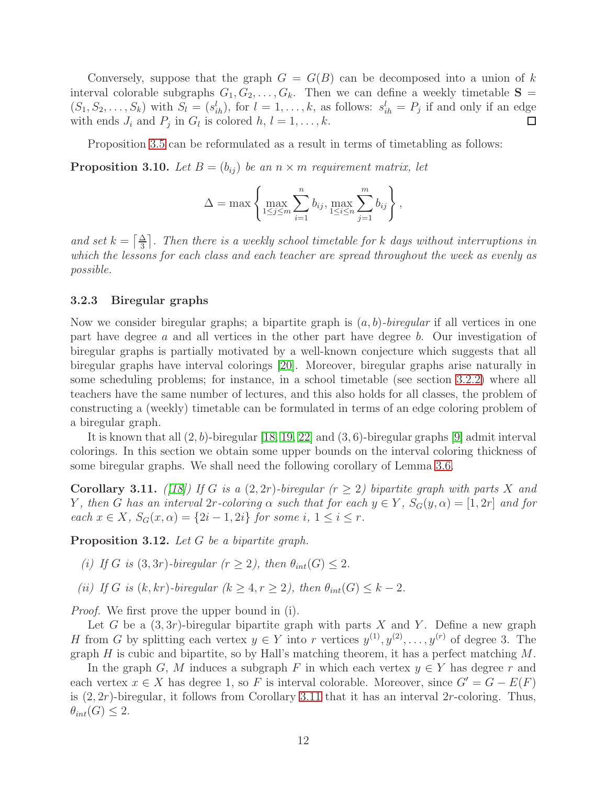Conversely, suppose that the graph  $G = G(B)$  can be decomposed into a union of k interval colorable subgraphs  $G_1, G_2, \ldots, G_k$ . Then we can define a weekly timetable  $S =$  $(S_1, S_2, \ldots, S_k)$  with  $S_l = (s_{ih}^l)$ , for  $l = 1, \ldots, k$ , as follows:  $s_{ih}^l = P_j$  if and only if an edge with ends  $J_i$  and  $P_j$  in  $G_l$  is colored  $h, l = 1, ..., k$ . □

Proposition [3.5](#page-8-0) can be reformulated as a result in terms of timetabling as follows:

<span id="page-11-0"></span>**Proposition 3.10.** Let  $B = (b_{ij})$  be an  $n \times m$  requirement matrix, let

$$
\Delta = \max \left\{ \max_{1 \leq j \leq m} \sum_{i=1}^n b_{ij}, \max_{1 \leq i \leq n} \sum_{j=1}^m b_{ij} \right\},\,
$$

and set  $k = \lceil \frac{\Delta}{3} \rceil$ . Then there is a weekly school timetable for k days without interruptions in which the lessons for each class and each teacher are spread throughout the week as evenly as possible.

#### 3.2.3 Biregular graphs

Now we consider biregular graphs; a bipartite graph is  $(a, b)$ -biregular if all vertices in one part have degree a and all vertices in the other part have degree b. Our investigation of biregular graphs is partially motivated by a well-known conjecture which suggests that all biregular graphs have interval colorings [\[20\]](#page-17-12). Moreover, biregular graphs arise naturally in some scheduling problems; for instance, in a school timetable (see section [3.2.2\)](#page-10-0) where all teachers have the same number of lectures, and this also holds for all classes, the problem of constructing a (weekly) timetable can be formulated in terms of an edge coloring problem of a biregular graph.

It is known that all  $(2, b)$ -biregular [\[18,](#page-17-3) [19,](#page-17-7) [22\]](#page-17-8) and  $(3, 6)$ -biregular graphs [\[9\]](#page-16-6) admit interval colorings. In this section we obtain some upper bounds on the interval coloring thickness of some biregular graphs. We shall need the following corollary of Lemma [3.6.](#page-9-1)

<span id="page-11-1"></span>**Corollary 3.11.** ([\[18\]](#page-17-3)) If G is a  $(2, 2r)$ -biregular  $(r \geq 2)$  bipartite graph with parts X and Y, then G has an interval 2r-coloring  $\alpha$  such that for each  $y \in Y$ ,  $S_G(y, \alpha) = [1, 2r]$  and for each  $x \in X$ ,  $S_G(x, \alpha) = \{2i - 1, 2i\}$  for some  $i, 1 \leq i \leq r$ .

Proposition 3.12. Let G be a bipartite graph.

- (i) If G is  $(3, 3r)$ -biregular  $(r > 2)$ , then  $\theta_{int}(G) < 2$ .
- (ii) If G is  $(k, kr)$ -biregular  $(k \geq 4, r \geq 2)$ , then  $\theta_{int}(G) \leq k 2$ .

Proof. We first prove the upper bound in (i).

Let G be a  $(3, 3r)$ -biregular bipartite graph with parts X and Y. Define a new graph H from G by splitting each vertex  $y \in Y$  into r vertices  $y^{(1)}, y^{(2)}, \ldots, y^{(r)}$  of degree 3. The graph  $H$  is cubic and bipartite, so by Hall's matching theorem, it has a perfect matching  $M$ .

In the graph G, M induces a subgraph F in which each vertex  $y \in Y$  has degree r and each vertex  $x \in X$  has degree 1, so F is interval colorable. Moreover, since  $G' = G - E(F)$ is  $(2, 2r)$ -biregular, it follows from Corollary [3.11](#page-11-1) that it has an interval 2r-coloring. Thus,  $\theta_{int}(G) \leq 2.$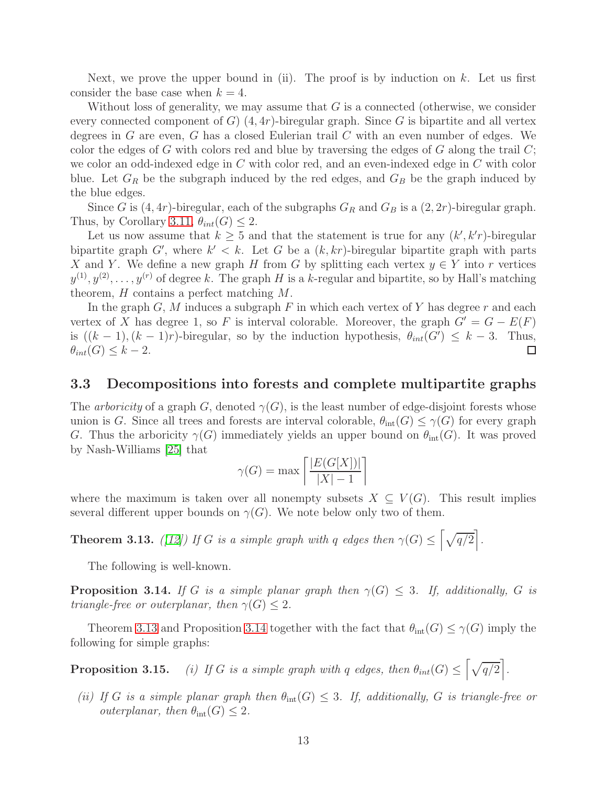Next, we prove the upper bound in (ii). The proof is by induction on  $k$ . Let us first consider the base case when  $k = 4$ .

Without loss of generality, we may assume that  $G$  is a connected (otherwise, we consider every connected component of  $G$ )  $(4,4r)$ -biregular graph. Since G is bipartite and all vertex degrees in  $G$  are even,  $G$  has a closed Eulerian trail  $C$  with an even number of edges. We color the edges of G with colors red and blue by traversing the edges of G along the trail  $C$ ; we color an odd-indexed edge in C with color red, and an even-indexed edge in C with color blue. Let  $G_R$  be the subgraph induced by the red edges, and  $G_B$  be the graph induced by the blue edges.

Since G is  $(4,4r)$ -biregular, each of the subgraphs  $G_R$  and  $G_B$  is a  $(2,2r)$ -biregular graph. Thus, by Corollary [3.11,](#page-11-1)  $\theta_{int}(G) \leq 2$ .

Let us now assume that  $k \geq 5$  and that the statement is true for any  $(k', k')$ -biregular bipartite graph G', where  $k' < k$ . Let G be a  $(k, kr)$ -biregular bipartite graph with parts X and Y. We define a new graph H from G by splitting each vertex  $y \in Y$  into r vertices  $y^{(1)}, y^{(2)}, \ldots, y^{(r)}$  of degree k. The graph H is a k-regular and bipartite, so by Hall's matching theorem, H contains a perfect matching M.

In the graph  $G, M$  induces a subgraph F in which each vertex of Y has degree r and each vertex of X has degree 1, so F is interval colorable. Moreover, the graph  $G' = G - E(F)$ is  $((k-1),(k-1)r)$ -biregular, so by the induction hypothesis,  $\theta_{int}(G') \leq k-3$ . Thus,  $\theta_{int}(G) \leq k-2.$  $\Box$ 

#### 3.3 Decompositions into forests and complete multipartite graphs

The *arboricity* of a graph G, denoted  $\gamma(G)$ , is the least number of edge-disjoint forests whose union is G. Since all trees and forests are interval colorable,  $\theta_{\rm int}(G) \leq \gamma(G)$  for every graph G. Thus the arboricity  $\gamma(G)$  immediately yields an upper bound on  $\theta_{\text{int}}(G)$ . It was proved by Nash-Williams [\[25\]](#page-17-13) that

$$
\gamma(G) = \max\left[\frac{|E(G[X])|}{|X| - 1}\right]
$$

where the maximum is taken over all nonempty subsets  $X \subseteq V(G)$ . This result implies several different upper bounds on  $\gamma(G)$ . We note below only two of them.

<span id="page-12-0"></span>**Theorem 3.13.** ([\[12\]](#page-17-14)) If G is a simple graph with q edges then  $\gamma(G) \leq \lceil \sqrt{q/2} \rceil$ .

The following is well-known.

<span id="page-12-1"></span>**Proposition 3.14.** If G is a simple planar graph then  $\gamma(G) \leq 3$ . If, additionally, G is triangle-free or outerplanar, then  $\gamma(G) \leq 2$ .

Theorem [3.13](#page-12-0) and Proposition [3.14](#page-12-1) together with the fact that  $\theta_{\rm int}(G) \leq \gamma(G)$  imply the following for simple graphs:

**Proposition 3.15.** (i) If G is a simple graph with q edges, then  $\theta_{int}(G) \leq \left[\sqrt{q/2}\right]$ .

(ii) If G is a simple planar graph then  $\theta_{\rm int}(G) \leq 3$ . If, additionally, G is triangle-free or *outerplanar, then*  $\theta_{\text{int}}(G) \leq 2$ .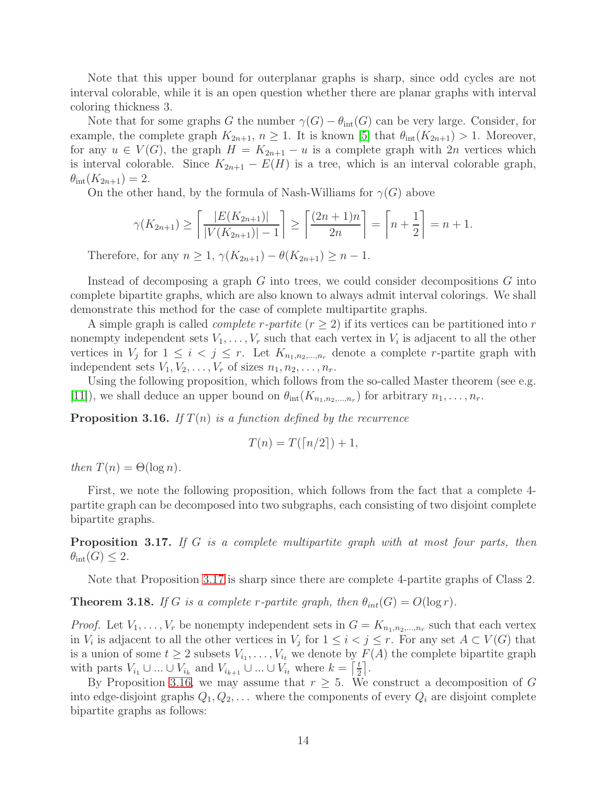Note that this upper bound for outerplanar graphs is sharp, since odd cycles are not interval colorable, while it is an open question whether there are planar graphs with interval coloring thickness 3.

Note that for some graphs G the number  $\gamma(G) - \theta_{\text{int}}(G)$  can be very large. Consider, for example, the complete graph  $K_{2n+1}$ ,  $n \geq 1$ . It is known [\[5\]](#page-16-1) that  $\theta_{\rm int}(K_{2n+1}) > 1$ . Moreover, for any  $u \in V(G)$ , the graph  $H = K_{2n+1} - u$  is a complete graph with  $2n$  vertices which is interval colorable. Since  $K_{2n+1} - E(H)$  is a tree, which is an interval colorable graph,  $\theta_{\rm int}(K_{2n+1}) = 2.$ 

On the other hand, by the formula of Nash-Williams for  $\gamma(G)$  above

$$
\gamma(K_{2n+1}) \ge \left\lceil \frac{|E(K_{2n+1})|}{|V(K_{2n+1})| - 1} \right\rceil \ge \left\lceil \frac{(2n+1)n}{2n} \right\rceil = \left\lceil n + \frac{1}{2} \right\rceil = n+1.
$$

Therefore, for any  $n \ge 1$ ,  $\gamma(K_{2n+1}) - \theta(K_{2n+1}) \ge n - 1$ .

Instead of decomposing a graph  $G$  into trees, we could consider decompositions  $G$  into complete bipartite graphs, which are also known to always admit interval colorings. We shall demonstrate this method for the case of complete multipartite graphs.

A simple graph is called *complete r-partite*  $(r \geq 2)$  if its vertices can be partitioned into r nonempty independent sets  $V_1, \ldots, V_r$  such that each vertex in  $V_i$  is adjacent to all the other vertices in  $V_j$  for  $1 \leq i < j \leq r$ . Let  $K_{n_1,n_2,...,n_r}$  denote a complete r-partite graph with independent sets  $V_1, V_2, \ldots, V_r$  of sizes  $n_1, n_2, \ldots, n_r$ .

Using the following proposition, which follows from the so-called Master theorem (see e.g. [\[11\]](#page-17-15)), we shall deduce an upper bound on  $\theta_{\rm int}(K_{n_1,n_2,\dots,n_r})$  for arbitrary  $n_1,\dots,n_r$ .

<span id="page-13-1"></span>**Proposition 3.16.** If  $T(n)$  is a function defined by the recurrence

$$
T(n) = T(\lceil n/2 \rceil) + 1,
$$

then  $T(n) = \Theta(\log n)$ .

First, we note the following proposition, which follows from the fact that a complete 4 partite graph can be decomposed into two subgraphs, each consisting of two disjoint complete bipartite graphs.

<span id="page-13-0"></span>Proposition 3.17. If G is a complete multipartite graph with at most four parts, then  $\theta_{\rm int}(G) \leq 2$ .

Note that Proposition [3.17](#page-13-0) is sharp since there are complete 4-partite graphs of Class 2.

**Theorem 3.18.** If G is a complete r-partite graph, then  $\theta_{int}(G) = O(\log r)$ .

*Proof.* Let  $V_1, \ldots, V_r$  be nonempty independent sets in  $G = K_{n_1, n_2, \ldots, n_r}$  such that each vertex in  $V_i$  is adjacent to all the other vertices in  $V_j$  for  $1 \leq i < j \leq r$ . For any set  $A \subset V(G)$  that is a union of some  $t \geq 2$  subsets  $V_{i_1}, \ldots, V_{i_t}$  we denote by  $F(A)$  the complete bipartite graph with parts  $V_{i_1} \cup ... \cup V_{i_k}$  and  $V_{i_{k+1}} \cup ... \cup V_{i_t}$  where  $k = \left\lceil \frac{t}{2} \right\rceil$  $\frac{t}{2}$ .

By Proposition [3.16,](#page-13-1) we may assume that  $r \geq 5$ . We construct a decomposition of G into edge-disjoint graphs  $Q_1, Q_2, \ldots$  where the components of every  $Q_i$  are disjoint complete bipartite graphs as follows: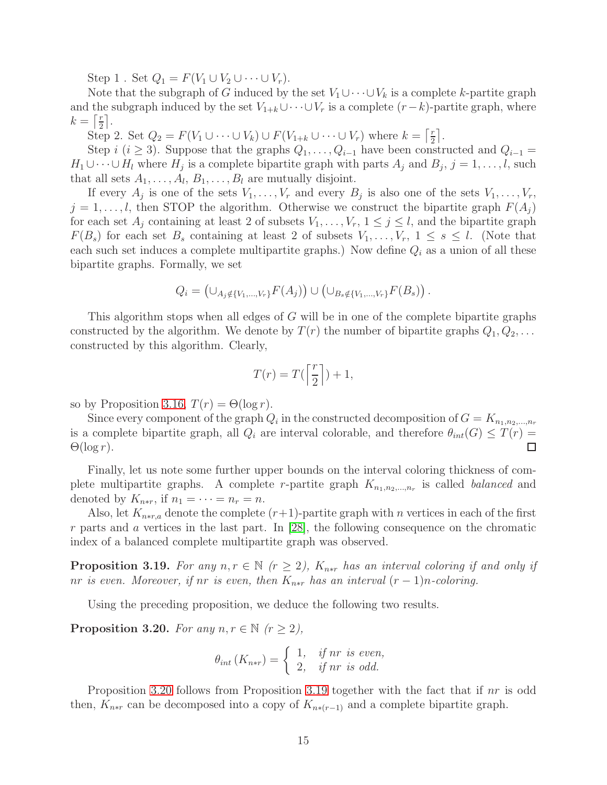Step 1 . Set  $Q_1 = F(V_1 \cup V_2 \cup \cdots \cup V_r)$ .

Note that the subgraph of G induced by the set  $V_1 \cup \cdots \cup V_k$  is a complete k-partite graph and the subgraph induced by the set  $V_{1+k} \cup \cdots \cup V_r$  is a complete  $(r-k)$ -partite graph, where  $k=\lceil \frac{r}{2} \rceil$  $\frac{r}{2}$ .

Step 2. Set  $Q_2 = F(V_1 \cup \cdots \cup V_k) \cup F(V_{1+k} \cup \cdots \cup V_r)$  where  $k = \lceil \frac{r}{2} \rceil$  $\frac{r}{2}$ .

Step i (i ≥ 3). Suppose that the graphs  $Q_1, \ldots, Q_{i-1}$  have been constructed and  $Q_{i-1}$  =  $H_1 \cup \cdots \cup H_l$  where  $H_j$  is a complete bipartite graph with parts  $A_j$  and  $B_j$ ,  $j = 1, \ldots, l$ , such that all sets  $A_1, \ldots, A_l, B_1, \ldots, B_l$  are mutually disjoint.

If every  $A_j$  is one of the sets  $V_1, \ldots, V_r$  and every  $B_j$  is also one of the sets  $V_1, \ldots, V_r$ ,  $j = 1, \ldots, l$ , then STOP the algorithm. Otherwise we construct the bipartite graph  $F(A_j)$ for each set  $A_j$  containing at least 2 of subsets  $V_1, \ldots, V_r$ ,  $1 \leq j \leq l$ , and the bipartite graph  $F(B_s)$  for each set  $B_s$  containing at least 2 of subsets  $V_1, \ldots, V_r$ ,  $1 \leq s \leq l$ . (Note that each such set induces a complete multipartite graphs.) Now define  $Q_i$  as a union of all these bipartite graphs. Formally, we set

$$
Q_i = (\cup_{A_j \notin \{V_1, ..., V_r\}} F(A_j)) \cup (\cup_{B_s \notin \{V_1, ..., V_r\}} F(B_s)).
$$

This algorithm stops when all edges of G will be in one of the complete bipartite graphs constructed by the algorithm. We denote by  $T(r)$  the number of bipartite graphs  $Q_1, Q_2, \ldots$ constructed by this algorithm. Clearly,

$$
T(r) = T\left(\left\lceil \frac{r}{2} \right\rceil\right) + 1,
$$

so by Proposition [3.16,](#page-13-1)  $T(r) = \Theta(\log r)$ .

Since every component of the graph  $Q_i$  in the constructed decomposition of  $G = K_{n_1,n_2,...,n_r}$ is a complete bipartite graph, all  $Q_i$  are interval colorable, and therefore  $\theta_{int}(G) \leq T(r)$  $\Theta(\log r)$ .  $\Box$ 

Finally, let us note some further upper bounds on the interval coloring thickness of complete multipartite graphs. A complete r-partite graph  $K_{n_1,n_2,\dots,n_r}$  is called *balanced* and denoted by  $K_{n*r}$ , if  $n_1 = \cdots = n_r = n$ .

Also, let  $K_{n*r,a}$  denote the complete  $(r+1)$ -partite graph with n vertices in each of the first  $r$  parts and  $\alpha$  vertices in the last part. In [\[28\]](#page-17-16), the following consequence on the chromatic index of a balanced complete multipartite graph was observed.

<span id="page-14-1"></span>**Proposition 3.19.** For any  $n, r \in \mathbb{N}$  ( $r \geq 2$ ),  $K_{n*r}$  has an interval coloring if and only if nr is even. Moreover, if nr is even, then  $K_{n*r}$  has an interval  $(r-1)n$ -coloring.

Using the preceding proposition, we deduce the following two results.

<span id="page-14-0"></span>Proposition 3.20. For any  $n, r \in \mathbb{N}$   $(r \geq 2)$ ,

$$
\theta_{int}(K_{n*r}) = \begin{cases} 1, & if nr \text{ is even,} \\ 2, & if nr \text{ is odd.} \end{cases}
$$

Proposition [3.20](#page-14-0) follows from Proposition [3.19](#page-14-1) together with the fact that if nr is odd then,  $K_{n*r}$  can be decomposed into a copy of  $K_{n*(r-1)}$  and a complete bipartite graph.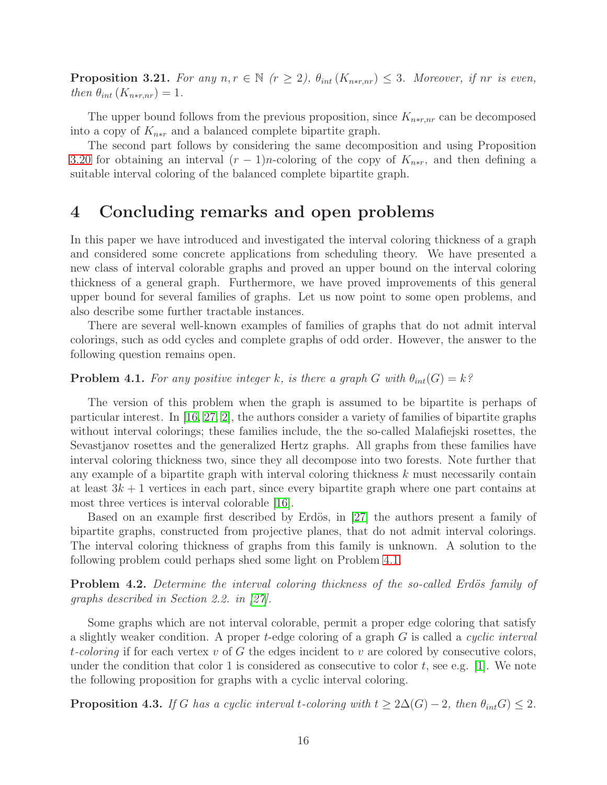**Proposition 3.21.** For any  $n, r \in \mathbb{N}$  ( $r \geq 2$ ),  $\theta_{int}(K_{n*r,nr}) \leq 3$ . Moreover, if nr is even, then  $\theta_{int}(K_{n*r,nr})=1$ .

The upper bound follows from the previous proposition, since  $K_{n*r,nr}$  can be decomposed into a copy of  $K_{n*r}$  and a balanced complete bipartite graph.

The second part follows by considering the same decomposition and using Proposition [3.20](#page-14-0) for obtaining an interval  $(r-1)n$ -coloring of the copy of  $K_{n*r}$ , and then defining a suitable interval coloring of the balanced complete bipartite graph.

# 4 Concluding remarks and open problems

In this paper we have introduced and investigated the interval coloring thickness of a graph and considered some concrete applications from scheduling theory. We have presented a new class of interval colorable graphs and proved an upper bound on the interval coloring thickness of a general graph. Furthermore, we have proved improvements of this general upper bound for several families of graphs. Let us now point to some open problems, and also describe some further tractable instances.

There are several well-known examples of families of graphs that do not admit interval colorings, such as odd cycles and complete graphs of odd order. However, the answer to the following question remains open.

## <span id="page-15-0"></span>**Problem 4.1.** For any positive integer k, is there a graph G with  $\theta_{int}(G) = k$ ?

The version of this problem when the graph is assumed to be bipartite is perhaps of particular interest. In [\[16,](#page-17-17) [27,](#page-17-11) [2\]](#page-16-9), the authors consider a variety of families of bipartite graphs without interval colorings; these families include, the the so-called Malafiejski rosettes, the Sevastjanov rosettes and the generalized Hertz graphs. All graphs from these families have interval coloring thickness two, since they all decompose into two forests. Note further that any example of a bipartite graph with interval coloring thickness  $k$  must necessarily contain at least  $3k + 1$  vertices in each part, since every bipartite graph where one part contains at most three vertices is interval colorable [\[16\]](#page-17-17).

Based on an example first described by Erdös, in  $[27]$  the authors present a family of bipartite graphs, constructed from projective planes, that do not admit interval colorings. The interval coloring thickness of graphs from this family is unknown. A solution to the following problem could perhaps shed some light on Problem [4.1.](#page-15-0)

**Problem 4.2.** Determine the interval coloring thickness of the so-called Erdös family of graphs described in Section 2.2. in [\[27\]](#page-17-11).

Some graphs which are not interval colorable, permit a proper edge coloring that satisfy a slightly weaker condition. A proper t-edge coloring of a graph  $G$  is called a *cyclic interval* t-coloring if for each vertex v of G the edges incident to v are colored by consecutive colors, under the condition that color 1 is considered as consecutive to color t, see e.g. [\[1\]](#page-16-8). We note the following proposition for graphs with a cyclic interval coloring.

<span id="page-15-1"></span>**Proposition 4.3.** If G has a cyclic interval t-coloring with  $t \geq 2\Delta(G) - 2$ , then  $\theta_{int}G \leq 2$ .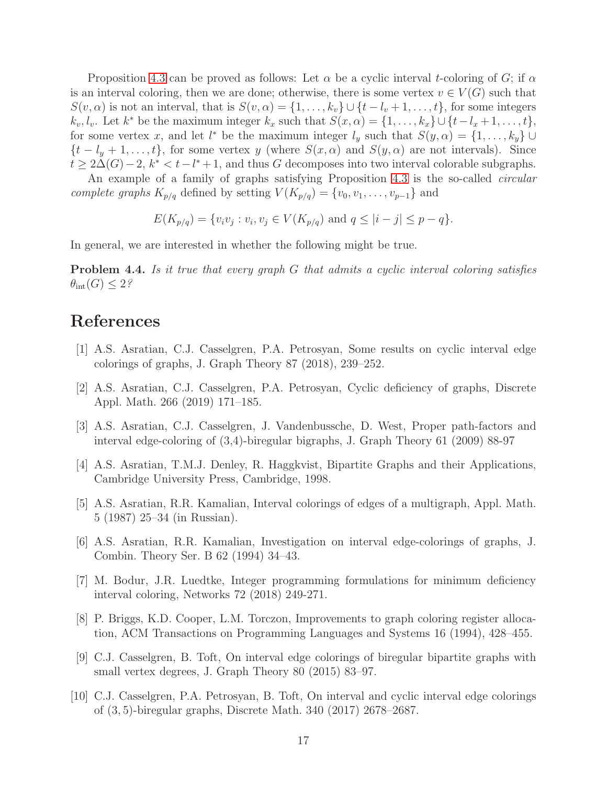Proposition [4.3](#page-15-1) can be proved as follows: Let  $\alpha$  be a cyclic interval t-coloring of G; if  $\alpha$ is an interval coloring, then we are done; otherwise, there is some vertex  $v \in V(G)$  such that  $S(v, \alpha)$  is not an interval, that is  $S(v, \alpha) = \{1, \ldots, k_v\} \cup \{t - l_v + 1, \ldots, t\}$ , for some integers  $k_v, l_v$ . Let  $k^*$  be the maximum integer  $k_x$  such that  $S(x, \alpha) = \{1, \ldots, k_x\} \cup \{t - l_x + 1, \ldots, t\}$ , for some vertex x, and let  $l^*$  be the maximum integer  $l_y$  such that  $S(y, \alpha) = \{1, \ldots, k_y\} \cup$  $\{t - l_y + 1, \ldots, t\}$ , for some vertex y (where  $S(x, \alpha)$  and  $S(y, \alpha)$  are not intervals). Since  $t \geq 2\Delta(G)-2$ ,  $k^* < t-l^*+1$ , and thus G decomposes into two interval colorable subgraphs.

An example of a family of graphs satisfying Proposition [4.3](#page-15-1) is the so-called circular complete graphs  $K_{p/q}$  defined by setting  $V(K_{p/q}) = \{v_0, v_1, \ldots, v_{p-1}\}\$ and

$$
E(K_{p/q}) = \{v_i v_j : v_i, v_j \in V(K_{p/q}) \text{ and } q \leq |i - j| \leq p - q\}.
$$

In general, we are interested in whether the following might be true.

**Problem 4.4.** Is it true that every graph G that admits a cyclic interval coloring satisfies  $\theta_{\rm int}(G) \leq 2$ ?

# <span id="page-16-8"></span>References

- <span id="page-16-9"></span>[1] A.S. Asratian, C.J. Casselgren, P.A. Petrosyan, Some results on cyclic interval edge colorings of graphs, J. Graph Theory 87 (2018), 239–252.
- <span id="page-16-5"></span>[2] A.S. Asratian, C.J. Casselgren, P.A. Petrosyan, Cyclic deficiency of graphs, Discrete Appl. Math. 266 (2019) 171–185.
- <span id="page-16-4"></span>[3] A.S. Asratian, C.J. Casselgren, J. Vandenbussche, D. West, Proper path-factors and interval edge-coloring of (3,4)-biregular bigraphs, J. Graph Theory 61 (2009) 88-97
- <span id="page-16-1"></span>[4] A.S. Asratian, T.M.J. Denley, R. Haggkvist, Bipartite Graphs and their Applications, Cambridge University Press, Cambridge, 1998.
- <span id="page-16-2"></span>[5] A.S. Asratian, R.R. Kamalian, Interval colorings of edges of a multigraph, Appl. Math. 5 (1987) 25–34 (in Russian).
- [6] A.S. Asratian, R.R. Kamalian, Investigation on interval edge-colorings of graphs, J. Combin. Theory Ser. B 62 (1994) 34–43.
- <span id="page-16-3"></span>[7] M. Bodur, J.R. Luedtke, Integer programming formulations for minimum deficiency interval coloring, Networks 72 (2018) 249-271.
- <span id="page-16-0"></span>[8] P. Briggs, K.D. Cooper, L.M. Torczon, Improvements to graph coloring register allocation, ACM Transactions on Programming Languages and Systems 16 (1994), 428–455.
- <span id="page-16-6"></span>[9] C.J. Casselgren, B. Toft, On interval edge colorings of biregular bipartite graphs with small vertex degrees, J. Graph Theory 80 (2015) 83–97.
- <span id="page-16-7"></span>[10] C.J. Casselgren, P.A. Petrosyan, B. Toft, On interval and cyclic interval edge colorings of (3, 5)-biregular graphs, Discrete Math. 340 (2017) 2678–2687.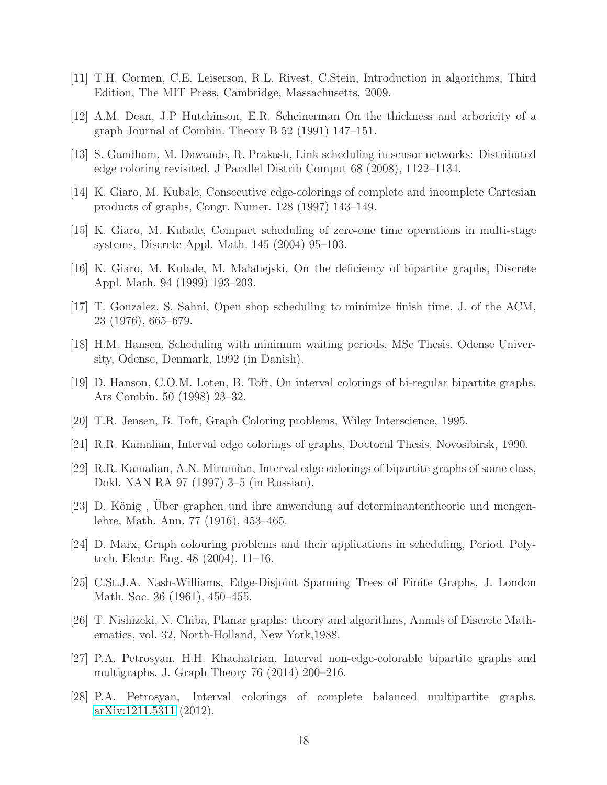- <span id="page-17-15"></span><span id="page-17-14"></span>[11] T.H. Cormen, C.E. Leiserson, R.L. Rivest, C.Stein, Introduction in algorithms, Third Edition, The MIT Press, Cambridge, Massachusetts, 2009.
- <span id="page-17-0"></span>[12] A.M. Dean, J.P Hutchinson, E.R. Scheinerman On the thickness and arboricity of a graph Journal of Combin. Theory B 52 (1991) 147–151.
- <span id="page-17-5"></span>[13] S. Gandham, M. Dawande, R. Prakash, Link scheduling in sensor networks: Distributed edge coloring revisited, J Parallel Distrib Comput 68 (2008), 1122–1134.
- <span id="page-17-6"></span>[14] K. Giaro, M. Kubale, Consecutive edge-colorings of complete and incomplete Cartesian products of graphs, Congr. Numer. 128 (1997) 143–149.
- <span id="page-17-17"></span>[15] K. Giaro, M. Kubale, Compact scheduling of zero-one time operations in multi-stage systems, Discrete Appl. Math. 145 (2004) 95–103.
- <span id="page-17-2"></span>[16] K. Giaro, M. Kubale, M. Ma lafiejski, On the deficiency of bipartite graphs, Discrete Appl. Math. 94 (1999) 193–203.
- <span id="page-17-3"></span>[17] T. Gonzalez, S. Sahni, Open shop scheduling to minimize finish time, J. of the ACM, 23 (1976), 665–679.
- <span id="page-17-7"></span>[18] H.M. Hansen, Scheduling with minimum waiting periods, MSc Thesis, Odense University, Odense, Denmark, 1992 (in Danish).
- <span id="page-17-12"></span>[19] D. Hanson, C.O.M. Loten, B. Toft, On interval colorings of bi-regular bipartite graphs, Ars Combin. 50 (1998) 23–32.
- <span id="page-17-4"></span>[20] T.R. Jensen, B. Toft, Graph Coloring problems, Wiley Interscience, 1995.
- <span id="page-17-8"></span>[21] R.R. Kamalian, Interval edge colorings of graphs, Doctoral Thesis, Novosibirsk, 1990.
- [22] R.R. Kamalian, A.N. Mirumian, Interval edge colorings of bipartite graphs of some class, Dokl. NAN RA 97 (1997) 3–5 (in Russian).
- <span id="page-17-9"></span>[23] D. König, Uber graphen und ihre anwendung auf determinantentheorie und mengenlehre, Math. Ann. 77 (1916), 453–465.
- <span id="page-17-1"></span>[24] D. Marx, Graph colouring problems and their applications in scheduling, Period. Polytech. Electr. Eng. 48 (2004), 11–16.
- <span id="page-17-13"></span>[25] C.St.J.A. Nash-Williams, Edge-Disjoint Spanning Trees of Finite Graphs, J. London Math. Soc. 36 (1961), 450–455.
- <span id="page-17-11"></span><span id="page-17-10"></span>[26] T. Nishizeki, N. Chiba, Planar graphs: theory and algorithms, Annals of Discrete Mathematics, vol. 32, North-Holland, New York,1988.
- [27] P.A. Petrosyan, H.H. Khachatrian, Interval non-edge-colorable bipartite graphs and multigraphs, J. Graph Theory 76 (2014) 200–216.
- <span id="page-17-16"></span>[28] P.A. Petrosyan, Interval colorings of complete balanced multipartite graphs, [arXiv:1211.5311](http://arxiv.org/abs/1211.5311) (2012).